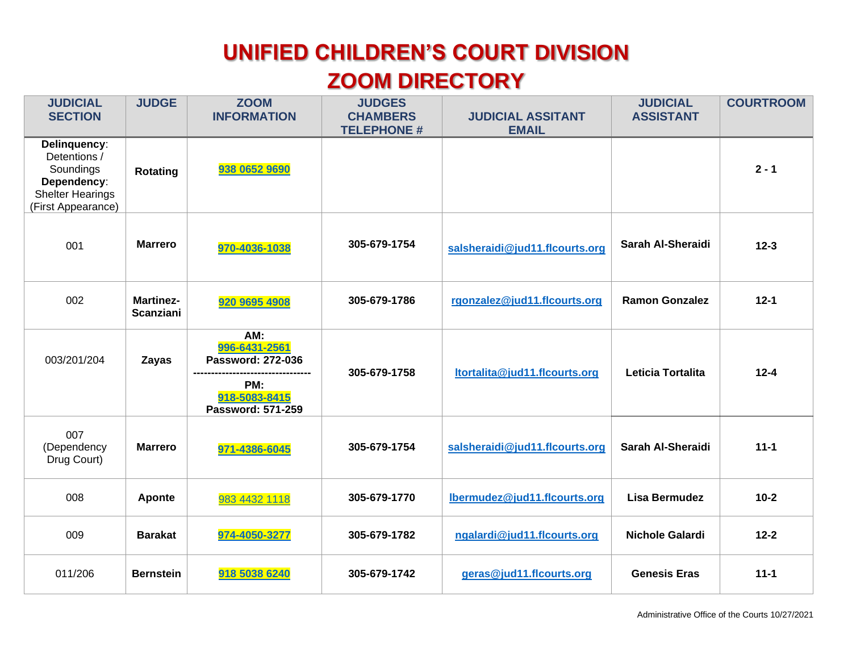## **UNIFIED CHILDREN'S COURT DIVISION ZOOM DIRECTORY**

| <b>JUDICIAL</b><br><b>SECTION</b>                                                                         | <b>JUDGE</b>                         | <b>ZOOM</b><br><b>INFORMATION</b>                                                             | <b>JUDGES</b><br><b>CHAMBERS</b><br><b>TELEPHONE #</b> | <b>JUDICIAL ASSITANT</b><br><b>EMAIL</b> | <b>JUDICIAL</b><br><b>ASSISTANT</b> | <b>COURTROOM</b> |
|-----------------------------------------------------------------------------------------------------------|--------------------------------------|-----------------------------------------------------------------------------------------------|--------------------------------------------------------|------------------------------------------|-------------------------------------|------------------|
| Delinquency:<br>Detentions /<br>Soundings<br>Dependency:<br><b>Shelter Hearings</b><br>(First Appearance) | Rotating                             | 938 0652 9690                                                                                 |                                                        |                                          |                                     | $2 - 1$          |
| 001                                                                                                       | <b>Marrero</b>                       | 970-4036-1038                                                                                 | 305-679-1754                                           | salsheraidi@jud11.flcourts.org           | Sarah Al-Sheraidi                   | $12 - 3$         |
| 002                                                                                                       | <b>Martinez-</b><br><b>Scanziani</b> | 920 9695 4908                                                                                 | 305-679-1786                                           | rgonzalez@jud11.flcourts.org             | <b>Ramon Gonzalez</b>               | $12 - 1$         |
| 003/201/204                                                                                               | Zayas                                | AM:<br>996-6431-2561<br><b>Password: 272-036</b><br>PM:<br>918-5083-8415<br>Password: 571-259 | 305-679-1758                                           | ltortalita@jud11.flcourts.org            | Leticia Tortalita                   | $12 - 4$         |
| 007<br>(Dependency<br>Drug Court)                                                                         | <b>Marrero</b>                       | 971-4386-6045                                                                                 | 305-679-1754                                           | salsheraidi@jud11.flcourts.org           | Sarah Al-Sheraidi                   | $11 - 1$         |
| 008                                                                                                       | Aponte                               | 983 4432 1118                                                                                 | 305-679-1770                                           | Ibermudez@jud11.flcourts.org             | <b>Lisa Bermudez</b>                | $10-2$           |
| 009                                                                                                       | <b>Barakat</b>                       | 974-4050-3277                                                                                 | 305-679-1782                                           | ngalardi@jud11.flcourts.org              | <b>Nichole Galardi</b>              | $12 - 2$         |
| 011/206                                                                                                   | <b>Bernstein</b>                     | 918 5038 6240                                                                                 | 305-679-1742                                           | geras@jud11.flcourts.org                 | <b>Genesis Eras</b>                 | $11 - 1$         |